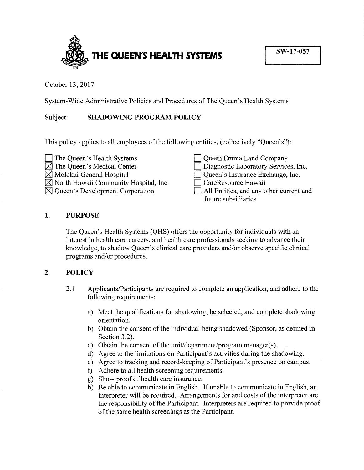

October 13, 2017

System-Wide Administrative Policies and Procedures of The Queen's Health Systems

## Subject: **SHADOWING PROGRAM POLICY**

This policy applies to all employees of the following entities, (collectively "Queen's"):



## **1. PURPOSE**

The Queen's Health Systems (QHS) offers the opportunity for individuals with an interest in health care careers, and health care professionals seeking to advance their knowledge, to shadow Queen's clinical care providers and/or observe specific clinical programs and/or procedures.

## **2. POLICY**

- 2.1 Applicants/Participants are required to complete an application, and adhere to the following requirements:
	- a) Meet the qualifications for shadowing, be selected, and complete shadowing orientation.
	- b) Obtain the consent of the individual being shadowed (Sponsor, as defined in Section 3.2).
	- c) Obtain the consent of the unit/department/program manager(s).
	- d) Agree to the limitations on Participant's activities during the shadowing.
	- e) Agree to tracking and record-keeping of Participant's presence on campus.
	- f) Adhere to all health screening requirements.
	- g) Show proof of health care insurance.
	- h) Be able to communicate in English. If unable to communicate in English, an interpreter will be required. Arrangements for and costs of the interpreter are the responsibility of the Participant. Interpreters are required to provide proof of the same health screenings as the Participant.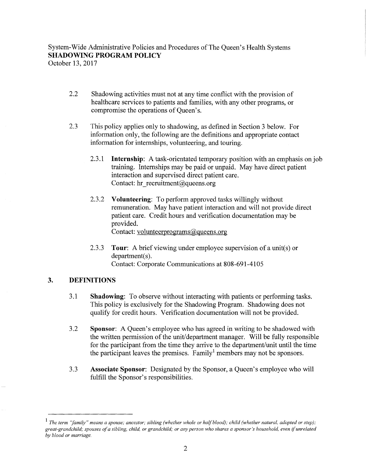October 13, 2017

- 2.2 Shadowing activities must not at any time conflict with the provision of healthcare services to patients and families, with any other programs, or compromise the operations of Queen's.
- 2.3 This policy applies only to shadowing, as defined in Section 3 below. For information only, the following are the definitions and appropriate contact information for internships, volunteering, and touring.
	- 2.3. l **Internship:** A task-orientated temporary position with an emphasis on job training. Internships may be paid or unpaid. May have direct patient interaction and supervised direct patient care. Contact: hr recruitment@queens.org
	- 2.3.2 **Volunteering:** To perform approved tasks willingly without remuneration. May have patient interaction and will not provide direct patient care. Credit hours and verification documentation may be provided. Contact: volunteerprograms@queens.org
	- 2.3.3 **Tour:** A brief viewing under employee supervision of a unit(s) or department(s). Contact: Corporate Communications at 808-691-4105

## **3. DEFINITIONS**

- 3 .1 **Shadowing:** To observe without interacting with patients or performing tasks. This policy is exclusively for the Shadowing Program. Shadowing does not qualify for credit hours. Verification documentation will not be provided.
- 3 .2 **Sponsor:** A Queen's employee who has agreed in writing to be shadowed with the written permission of the unit/department manager. Will be fully responsible for the participant from the time they arrive to the department/unit until the time the participant leaves the premises. Family<sup>1</sup> members may not be sponsors.
- 3.3 **Associate Sponsor:** Designated by the Sponsor, a Queen's employee who will fulfill the Sponsor's responsibilities.

<sup>&</sup>lt;sup>1</sup> The term "family" means a spouse; ancestor; sibling (whether whole or half blood); child (whether natural, adopted or step); *great-grandchild; spouses of a sibling, child, or grandchild; or any person who shares a sponsor's household, even* if *unrelated by blood or marriage.*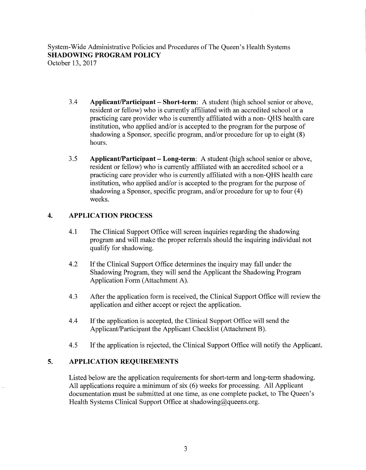October 13, 2017

- 3.4 **Applicant/Participant- Short-term:** A student (high school senior or above, resident or fellow) who is currently affiliated with an accredited school or a practicing care provider who is currently affiliated with a non- QHS health care institution, who applied and/or is accepted to the program for the purpose of shadowing a Sponsor, specific program, and/or procedure for up to eight (8) hours.
- 3.5 **Applicant/Participant- Long-term:** A student (high school senior or above, resident or fellow) who is currently affiliated with an accredited school or a practicing care provider who is currently affiliated with a non-QHS health care institution, who applied and/or is accepted to the program for the purpose of shadowing a Sponsor, specific program, and/or procedure for up to four (4) weeks.

## **4. APPLICATION PROCESS**

- 4.1 The Clinical Support Office will screen inquiries regarding the shadowing program and will make the proper referrals should the inquiring individual not qualify for shadowing.
- 4.2 If the Clinical Support Office determines the inquiry may fall under the Shadowing Program, they will send the Applicant the Shadowing Program Application Form (Attachment A).
- 4.3 After the application form is received, the Clinical Support Office will review the application and either accept or reject the application.
- 4.4 If the application is accepted, the Clinical Support Office will send the Applicant/Participant the Applicant Checklist (Attachment B).
- 4.5 If the application is rejected, the Clinical Support Office will notify the Applicant.

## **5. APPLICATION REQUIREMENTS**

Listed below are the application requirements for short-term and long-term shadowing. All applications require a minimum of six (6) weeks for processing. All Applicant documentation must be submitted at one time, as one complete packet, to The Queen's Health Systems Clinical Support Office at shadowing@queens.org.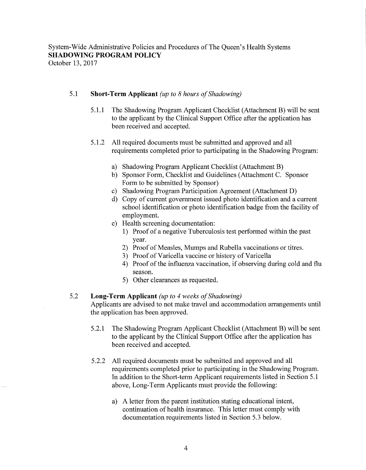October 13, 2017

## 5.1 **Short-Term Applicant** *(up to 8 hours of Shadowing)*

- 5.1.1 The Shadowing Program Applicant Checklist (Attachment B) will be sent to the applicant by the Clinical Support Office after the application has been received and accepted.
- 5 .1.2 All required documents must be submitted and approved and all requirements completed prior to participating in the Shadowing Program:
	- a) Shadowing Program Applicant Checklist (Attachment B)
	- b) Sponsor Form, Checklist and Guidelines (Attachment C. Sponsor Form to be submitted by Sponsor)
	- c) Shadowing Program Participation Agreement (Attachment D)
	- d) Copy of current government issued photo identification and a current school identification or photo identification badge from the facility of employment.
	- e) Health screening documentation:
		- 1) Proof of a negative Tuberculosis test performed within the past year.
		- 2) Proof of Measles, Mumps and Rubella vaccinations or titres.
		- 3) Proof of Varicella vaccine or history of Varicella
		- 4) Proof of the influenza vaccination, if observing during cold and flu season.
		- 5) Other clearances as requested.

## 5.2 **Long-Term Applicant** *(up to 4 weeks of Shadowing)*

Applicants are advised to not make travel and accommodation arrangements until the application has been approved.

- 5.2.1 The Shadowing Program Applicant Checklist (Attachment B) will be sent to the applicant by the Clinical Support Office after the application has been received and accepted.
- 5.2.2 All required documents must be submitted and approved and all requirements completed prior to participating in the Shadowing Program. In addition to the Short-term Applicant requirements listed in Section 5 .1 above, Long-Term Applicants must provide the following:
	- a) A letter from the parent institution stating educational intent, continuation of health insurance. This letter must comply with documentation requirements listed in Section 5.3 below.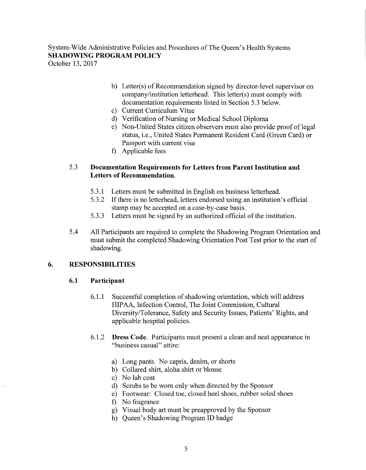October 13, 2017

- b) Letter(s) of Recommendation signed by director-level supervisor on company/institution letterhead. This letter(s) must comply with documentation requirements listed in Section 5.3 below.
- c) Current Curriculum Vitae
- d) Verification of Nursing or Medical School Diploma
- e) Non-United States citizen observers must also provide proof of legal status, i.e., United States Permanent Resident Card (Green Card) or Passport with current visa
- f) Applicable fees

## 5.3 Documentation Requirements for Letters from Parent Institution and Letters of Recommendation.

- 5.3.1 Letters must be submitted in English on business letterhead.
- 5.3.2 If there is no letterhead, letters endorsed using an institution's official stamp may be accepted on a case-by-case basis.
- 5.3.3 Letters must be signed by an authorized official of the institution.
- 5 .4 All Participants are required to complete the Shadowing Program Orientation and must submit the completed Shadowing Orientation Post Test prior to the start of shadowing.

## 6. RESPONSIBILITIES

## 6.1 Participant

- 6.1.1 Successful completion of shadowing orientation, which will address HIP AA, Infection Control, The Joint Commission, Cultural Diversity/Tolerance, Safety and Security Issues, Patients' Rights, and applicable hospital policies.
- 6.1.2 Dress Code. Participants must present a clean and neat appearance in "business casual" attire:
	- a) Long pants. No capris, denim, or shorts
	- b) Collared shirt, aloha shirt or blouse
	- c) No lab coat
	- d) Scrubs to be worn only when directed by the Sponsor
	- e) Footwear: Closed toe, closed heel shoes, rubber soled shoes
	- f) No fragrance
	- g) Visual body art must be preapproved by the Sponsor
	- h) Queen's Shadowing Program ID badge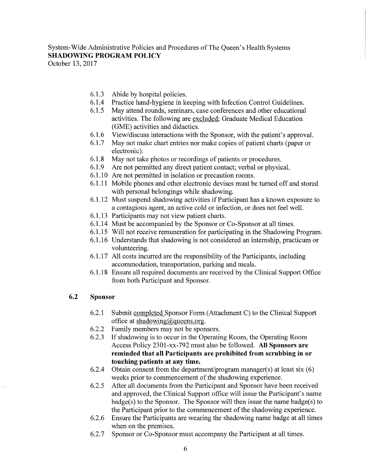October 13, 2017

- 6.1.3 Abide by hospital policies.
- 6.1.4 Practice hand-hygiene in keeping with Infection Control Guidelines.
- 6.1.5 May attend rounds, seminars, case conferences and other educational activities. The following are excluded; Graduate Medical Education (GME) activities and didactics.
- 6.1.6 View/discuss interactions with the Sponsor, with the patient's approval.
- 6.1.7 May not make chart entries nor make copies of patient charts (paper or electronic).
- 6.1.8 May not take photos or recordings of patients or procedures.
- 6.1.9 Are not permitted any direct patient contact; verbal or physical.
- 6.1.10 Are not permitted in isolation or precaution rooms.
- 6.1.11 Mobile phones and other electronic devises must be turned off and stored with personal belongings while shadowing.
- 6.1.12 Must suspend shadowing activities if Participant has a known exposure to a contagious agent, an active cold or infection, or does not feel well.
- 6.1.13 Participants may not view patient charts.
- 6.1.14 Must be accompanied by the Sponsor or Co-Sponsor at all times.
- 6.1.15 Will not receive remuneration for participating in the Shadowing Program.
- 6.1.16 Understands that shadowing is not considered an internship, practicum or volunteering.
- 6.1.17 All costs incurred are the responsibility of the Participants, including accommodation, transportation, parking and meals.
- 6.1.18 Ensure all required documents are received by the Clinical Support Office from both Participant and Sponsor.

## 6.2 **Sponsor**

- 6.2.1 Submit completed Sponsor Form (Attachment C) to the Clinical Support office at shadowing@queens.org.
- 6.2.2 Family members may not be sponsors.
- 6.2.3 If shadowing is to occur in the Operating Room, the Operating Room Access Policy 2301-xx-792 must also be followed. **All Sponsors are reminded that all Participants are prohibited from scrubbing in or touching patients at any time.**
- 6.2.4 Obtain consent from the department/program manager(s) at least six (6) weeks prior to commencement of the shadowing experience.
- 6.2.5 After all documents from the Participant and Sponsor have been received and approved, the Clinical Support office will issue the Participant's name  $badge(s)$  to the Sponsor. The Sponsor will then issue the name badge(s) to the Participant prior to the commencement of the shadowing experience.
- 6.2.6 Ensure the Participants are wearing the shadowing name badge at all times when on the premises.
- 6.2.7 Sponsor or Co-Sponsor must accompany the Participant at all times.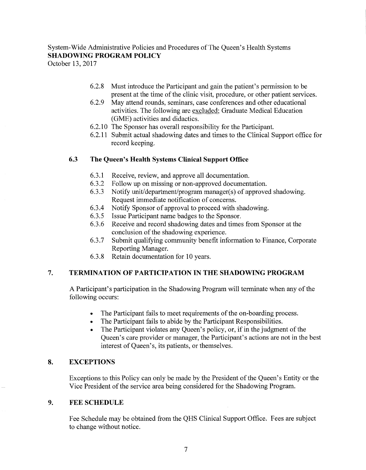October 13, 2017

- 6.2.8 Must introduce the Participant and gain the patient's permission to be present at the time of the clinic visit, procedure, or other patient services.
- 6.2.9 May attend rounds, seminars, case conferences and other educational activities. The following are excluded; Graduate Medical Education (GME) activities and didactics.
- 6.2.10 The Sponsor has overall responsibility for the Participant.
- 6.2.11 Submit actual shadowing dates and times to the Clinical Support office for record keeping.

## **6.3 The Queen's Health Systems Clinical Support Office**

- 6.3.1 Receive, review, and approve all documentation.
- 6.3.2 Follow up on missing or non-approved documentation.
- 6.3.3 Notify unit/department/program manager(s) of approved shadowing. Request immediate notification of concerns.
- 6.3.4 Notify Sponsor of approval to proceed with shadowing.
- 6.3.5 Issue Participant name badges to the Sponsor.
- 6.3.6 Receive and record shadowing dates and times from Sponsor at the conclusion of the shadowing experience.
- 6.3.7 Submit qualifying community benefit information to Finance, Corporate Reporting Manager.
- 6.3.8 Retain documentation for 10 years.

## **7. TERMINATION OF PARTICIPATION IN THE SHADOWING PROGRAM**

A Participant's participation in the Shadowing Program will terminate when any of the following occurs:

- The Participant fails to meet requirements of the on-boarding process.
- The Participant fails to abide by the Participant Responsibilities.
- The Participant violates any Queen's policy, or, if in the judgment of the Queen's care provider or manager, the Participant's actions are not in the best interest of Queen's, its patients, or themselves.

## **8. EXCEPTIONS**

Exceptions to this Policy can only be made by the President of the Queen's Entity or the Vice President of the service area being considered for the Shadowing Program.

## **9. FEE SCHEDULE**

Fee Schedule may be obtained from the QHS Clinical Support Office. Fees are subject to change without notice.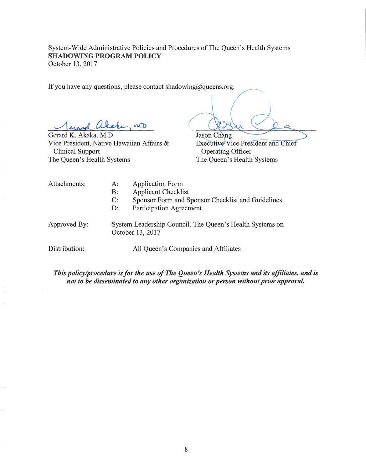If you have any questions, please contact shadowing@queens.org.

erasel akake, no

Gerard K. Akaka, M.D. Vice President, Native Hawaiian Affairs & Clinical Support The Queen's Health Systems

Jason Chang Executive Vice President and Chief Operating Officer The Queen's Health Systems

Attachments: A:

- Application Form
- B: Applicant Checklist
- C: Sponsor Form and Sponsor Checklist and Guidelines
- D: Participation Agreement

Approved By:

System Leadership Council, The Queen's Health Systems on October 13, 2017

Distribution: All Queen's Companies and Affiliates

*This policy/procedure is for the use of The Queen's Health Systems and its affiliates, and is not to be disseminated to any other organization or person without prior approval.*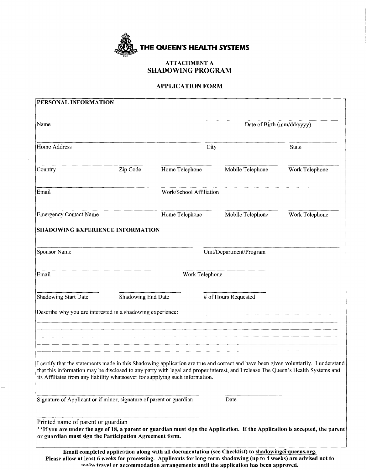

#### ATTACHMENT A SHADOWING PROGRAM

#### APPLICATION FORM

| PERSONAL INFORMATION                                                                                                                                                                                                                                                                                                                                    |                    |                            |                                                                                                   |                |  |
|---------------------------------------------------------------------------------------------------------------------------------------------------------------------------------------------------------------------------------------------------------------------------------------------------------------------------------------------------------|--------------------|----------------------------|---------------------------------------------------------------------------------------------------|----------------|--|
| Name                                                                                                                                                                                                                                                                                                                                                    |                    | Date of Birth (mm/dd/yyyy) |                                                                                                   |                |  |
| Home Address                                                                                                                                                                                                                                                                                                                                            |                    | City                       |                                                                                                   | State          |  |
| Country                                                                                                                                                                                                                                                                                                                                                 | Zip Code           | Home Telephone             | Mobile Telephone                                                                                  | Work Telephone |  |
| Email                                                                                                                                                                                                                                                                                                                                                   |                    | Work/School Affiliation    |                                                                                                   |                |  |
| <b>Emergency Contact Name</b>                                                                                                                                                                                                                                                                                                                           |                    | Home Telephone             | Mobile Telephone                                                                                  | Work Telephone |  |
| <b>SHADOWING EXPERIENCE INFORMATION</b>                                                                                                                                                                                                                                                                                                                 |                    |                            |                                                                                                   |                |  |
| Sponsor Name                                                                                                                                                                                                                                                                                                                                            |                    |                            | Unit/Department/Program                                                                           |                |  |
| Email                                                                                                                                                                                                                                                                                                                                                   |                    | Work Telephone             |                                                                                                   |                |  |
| Shadowing Start Date                                                                                                                                                                                                                                                                                                                                    | Shadowing End Date |                            | # of Hours Requested                                                                              |                |  |
| Describe why you are interested in a shadowing experience:                                                                                                                                                                                                                                                                                              |                    |                            |                                                                                                   |                |  |
|                                                                                                                                                                                                                                                                                                                                                         |                    |                            |                                                                                                   |                |  |
| I certify that the statements made in this Shadowing application are true and correct and have been given voluntarily. I understand<br>that this information may be disclosed to any party with legal and proper interest, and I release The Queen's Health Systems and<br>its Affiliates from any liability whatsoever for supplying such information. |                    |                            |                                                                                                   |                |  |
| Signature of Applicant or if minor, signature of parent or guardian                                                                                                                                                                                                                                                                                     |                    |                            | Date                                                                                              |                |  |
| Printed name of parent or guardian<br>**If you are under the age of 18, a parent or guardian must sign the Application. If the Application is accepted, the parent<br>or guardian must sign the Participation Agreement form.                                                                                                                           |                    |                            |                                                                                                   |                |  |
|                                                                                                                                                                                                                                                                                                                                                         |                    |                            | Email completed application along with all documentation (see Checklist) to shadowing@queens.org. |                |  |

Please allow at least 6 weeks for processing. Applicants for long-term shadowing (up to 4 weeks) are advised not to make travel or accommodation arrangements until the application has been approved.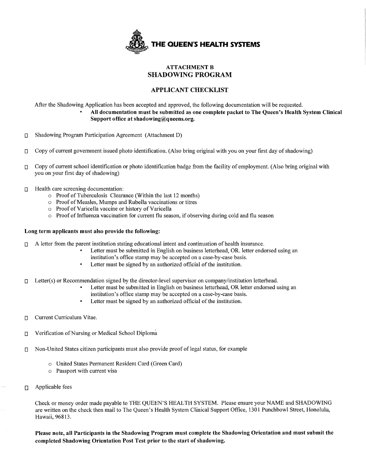

## **ATTACHMENT B SHADOWING PROGRAM**

#### **APPLICANT CHECKLIST**

After the Shadowing Application has been accepted and approved, the following documentation will be requested.

- **All documentation must be submitted as one complete packet to The Queen's Health System Clinical Support office at shadowing@queens.org.**
- O Shadowing Program Participation Agreement (Attachment D)
- $\Box$  Copy of current government issued photo identification. (Also bring original with you on your first day of shadowing)
- O Copy of current school identification or photo identification badge from the facility of employment. (Also bring original with you on your first day of shadowing)
- $\Box$  Health care screening documentation:
	- o Proof of Tuberculosis Clearance (Within the last 12 months)
	- o Proof of Measles, Mumps and Rubella vaccinations or titres
	- $\circ$  Proof of Varicella vaccine or history of Varicella
	- $\circ$  Proof of Influenza vaccination for current flu season, if observing during cold and flu season

#### **Long term applicants must also provide the following:**

- $\Box$  A letter from the parent institution stating educational intent and continuation of health insurance.
	- Letter must be submitted in English on business letterhead, OR. letter endorsed using an institution's office stamp may be accepted on a case-by-case basis.
	- Letter must be signed by an authorized official of the institution.
- $\Box$  Letter(s) or Recommendation signed by the director-level supervisor on company/institution letterhead.
	- Letter must be submitted in English on business letterhead, OR letter endorsed using an institution's office stamp may be accepted on a case-by-case basis.
	- Letter must be signed by an authorized official of the institution.
- $\Box$  Current Curriculum Vitae.
- $\Box$  Verification of Nursing or Medical School Diploma
- $\nabla$  Non-United States citizen participants must also provide proof of legal status, for example
	- o United States Permanent Resident Card (Green Card)
	- o Passport with current visa
- **D** Applicable fees

Check or money order made payable to THE QUEEN'S HEALTH SYSTEM. Please ensure your NAME and SHADOWING are written on the check then mail to The Queen's Health System Clinical Support Office, 1301 Punchbowl Street, Honolulu, Hawaii, 96813.

**Please note, all Participants in the Shadowing Program must complete the Shadowing Orientation and must submit the completed Shadowing Orientation Post Test prior to the start of shadowing.**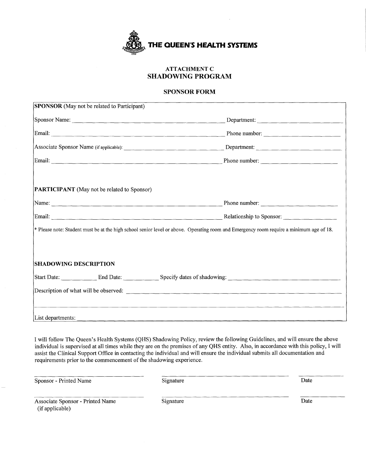

## **ATTACHMENT C SHADOWING PROGRAM**

#### **SPONSOR FORM**

| <b>SPONSOR</b> (May not be related to Participant) |                                                                                                                                                                                                                                      |
|----------------------------------------------------|--------------------------------------------------------------------------------------------------------------------------------------------------------------------------------------------------------------------------------------|
| Sponsor Name:                                      |                                                                                                                                                                                                                                      |
|                                                    | Email: <u>Charles Communications of the Burner Communications of the Burner Communications of the Burner Communications of the Burner Communications of the Burner Communications of the Burner Communications of the Burner Com</u> |
|                                                    | Associate Sponsor Name (if applicable): Department: Department:                                                                                                                                                                      |
|                                                    | Email: Phone number: Phone number:                                                                                                                                                                                                   |
| <b>PARTICIPANT</b> (May not be related to Sponsor) |                                                                                                                                                                                                                                      |
|                                                    | Name: Phone number: Phone number:                                                                                                                                                                                                    |
|                                                    | Email: Communication of the Relationship to Sponsor: Communication of the Sponsor: Communication of the Sponsor                                                                                                                      |
|                                                    | * Please note: Student must be at the high school senior level or above. Operating room and Emergency room require a minimum age of 18.                                                                                              |
| <b>SHADOWING DESCRIPTION</b>                       |                                                                                                                                                                                                                                      |
|                                                    | Start Date: End Date: Specify dates of shadowing: Specify dates of shadowing:                                                                                                                                                        |
|                                                    |                                                                                                                                                                                                                                      |
| List departments:                                  |                                                                                                                                                                                                                                      |

I will follow The Queen's Health Systems (QHS) Shadowing Policy, review the following Guidelines, and will ensure the above individual is supervised at all times while they are on the premises of any QHS entity. Also, in accordance with this policy, I will assist the Clinical Support Office in contacting the individual and will ensure the individual submits all documentation and requirements prior to the commencement of the shadowing experience.

| Sponsor - Printed Name                              | Signature | Date |
|-----------------------------------------------------|-----------|------|
| Associate Sponsor - Printed Name<br>(if applicable) | Signature | Date |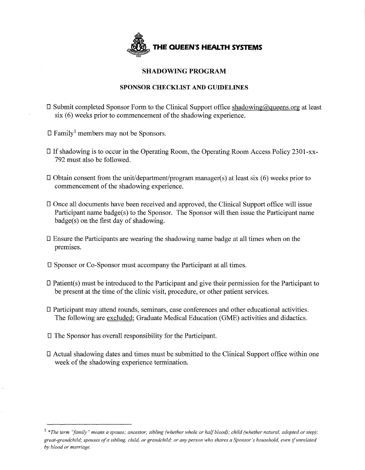

## **SHADOWING PROGRAM**

## **SPONSOR CHECKLIST AND GUIDELINES**

- $\square$  Submit completed Sponsor Form to the Clinical Support office shadowing@queens.org at least six (6) weeks prior to commencement of the shadowing experience.
- $\Box$  Family<sup>1</sup> members may not be Sponsors.
- D If shadowing is to occur in the Operating Room, the Operating Room Access Policy 2301-xx-792 must also be followed.
- $\square$  Obtain consent from the unit/department/program manager(s) at least six (6) weeks prior to commencement of the shadowing experience.
- **D** Once all documents have been received and approved, the Clinical Support office will issue Participant name badge(s) to the Sponsor. The Sponsor will then issue the Participant name badge(s) on the first day of shadowing.
- D Ensure the Participants are wearing the shadowing name badge at all times when on the premises.
- D Sponsor or Co-Sponsor must accompany the Participant at all times.
- D Patient(s) must be introduced to the Participant and give their permission for the Participant to be present at the time of the clinic visit, procedure, or other patient services.
- **D** Participant may attend rounds, seminars, case conferences and other educational activities. The following are excluded; Graduate Medical Education (GME) activities and didactics.
- D The Sponsor has overall responsibility for the Participant.
- D Actual shadowing dates and times must be submitted to the Clinical Support office within one week of the shadowing experience termination.

<sup>1</sup>*\*The term 'family" means a spouse; ancestor; sibling (whether whole or half blood); child (whether natural, adopted or step); great-grandchild; spouses of a sibling, child, or grandchild; or any person who shares a Sponsor's household. even* if *unrelated by blood or marriage.*